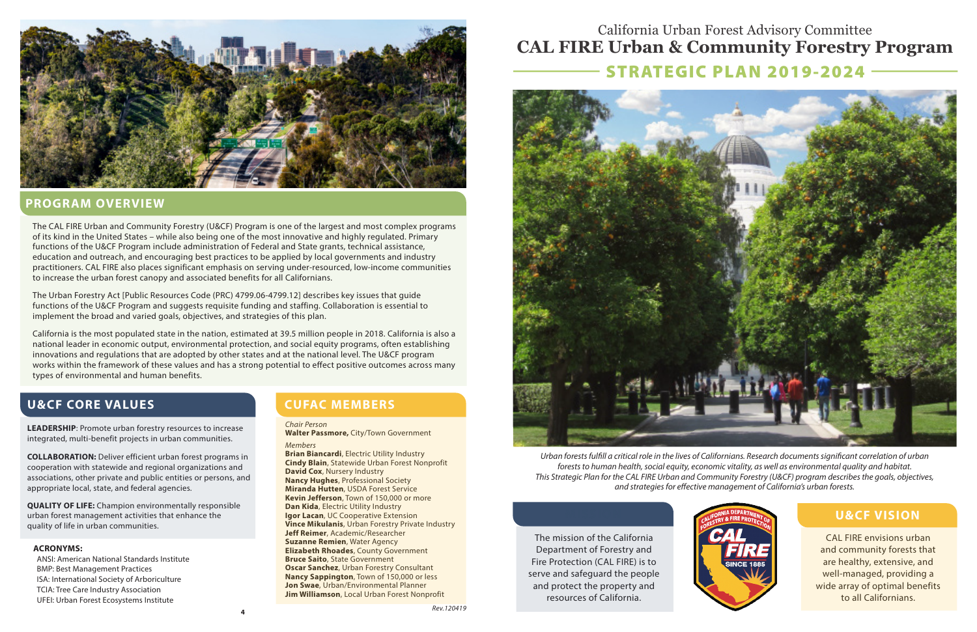# STRATEGIC PLAN 2019-2024 California Urban Forest Advisory Committee **CAL FIRE Urban & Community Forestry Program**



### **PROGRAM OVERVIEW**

The CAL FIRE Urban and Community Forestry (U&CF) Program is one of the largest and most complex programs of its kind in the United States – while also being one of the most innovative and highly regulated. Primary functions of the U&CF Program include administration of Federal and State grants, technical assistance, education and outreach, and encouraging best practices to be applied by local governments and industry practitioners. CAL FIRE also places significant emphasis on serving under-resourced, low-income communities to increase the urban forest canopy and associated benefits for all Californians.

The Urban Forestry Act [Public Resources Code (PRC) [4799.06-4799.12\]](https://4799.06-4799.12) describes key issues that guide functions of the U&CF Program and suggests requisite funding and staffing. Collaboration is essential to implement the broad and varied goals, objectives, and strategies of this plan.

California is the most populated state in the nation, estimated at 39.5 million people in 2018. California is also a national leader in economic output, environmental protection, and social equity programs, often establishing innovations and regulations that are adopted by other states and at the national level. The U&CF program works within the framework of these values and has a strong potential to effect positive outcomes across many types of environmental and human benefits.

## **U&CF CORE VALUES CUFAC MEMBERS**

**LEADERSHIP**: Promote urban forestry resources to increase **Chair Person**<br>integrated, multi-benefit projects in urban communities. *Members Members Members* 

**COLLABORATION:** Deliver efficient urban forest programs in<br>
cooperation with statewide and regional organizations and<br>
associations, other private and public entities or persons, and<br>
appropriate local, state, and federal appropriate local, state, and federal agencies.

**QUALITY OF LIFE:** Champion environmentally responsible urban forest management activities that enhance the **Igor Lacan**, UC Cooperative Extension **MISSION COOPERATION COOPERATION COOPERATION Vince Mikulanis**. Urban Forestry Private Industry quality of life in urban communities.<br>**Vince Mikulanis**, Urban Forestry Private Industry Private Industrial Contract Private Industry Private Industry Pr

Exam Substributed by Columbushy Consultant of the San Publisher Consultant of the San Publisher of the San Publisher of the San Publisher of the San Publisher of the San Publisher of the San Publisher of the San Publisher

**Kevin Jefferson**, Town of 150,000 or more<br>**Dan Kida**, Electric Utility Industry **Jeff Reimer**, Academic/Researcher The mission of the California **Suzanne Remien**, Water Agency **ACRONYMS:** The mission of the California **Suzanne Remien**, Water Agency **ACRONYMS: ACRONYMS: ACRONYMS: ACRONYMS: ACRO** ANSI: American National Standards Institute **Bruce Saito**, State Government Fire Protection (CAL FIRE) is to **Bruce Saito, State Government** Fire Protection (CAL FIRE) is to **Oscar Sanchez**, Urban Forestry Consultant **Fire Oscar Sanchez**, Urban Forestry Consultant<br>**Nancy Sappington**, Town of 150,000 or less



*Urban forests fulfll a critical role in the lives of Californians. Research documents signifcant correlation of urban forests to human health, social equity, economic vitality, as well as environmental quality and habitat. This Strategic Plan for the CAL FIRE Urban and Community Forestry (U&CF) program describes the goals, objectives, and strategies for efective management of California's urban forests.* 



CAL FIRE envisions urban and community forests that are healthy, extensive, and well-managed, providing a wide array of optimal benefits to all Californians.

## **U&CF VISION**